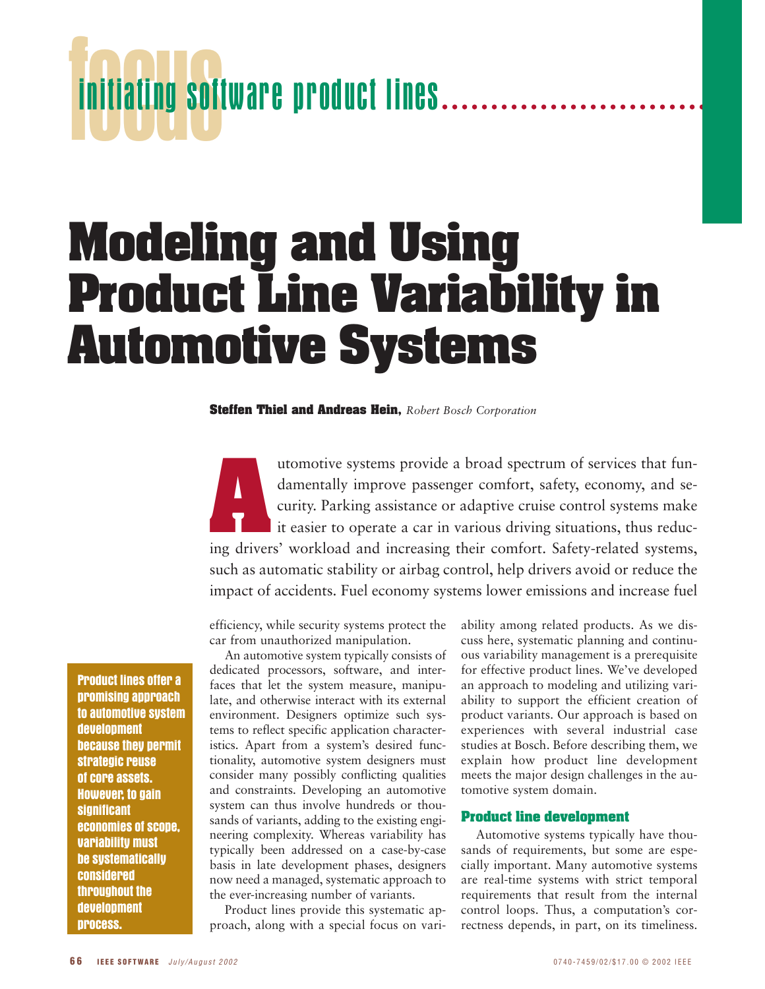# **following soft** initiating software product lines

# **Modeling and Using Product Line Variability in Automotive Systems**

**Steffen Thiel and Andreas Hein,** *Robert Bosch Corporation*

utomotive systems provide a broad spectrum of services that fun-<br>damentally improve passenger comfort, safety, economy, and se-<br>curity. Parking assistance or adaptive cruise control systems make<br>it easier to operate a car damentally improve passenger comfort, safety, economy, and security. Parking assistance or adaptive cruise control systems make it easier to operate a car in various driving situations, thus reducing drivers' workload and increasing their comfort. Safety-related systems, such as automatic stability or airbag control, help drivers avoid or reduce the impact of accidents. Fuel economy systems lower emissions and increase fuel

efficiency, while security systems protect the car from unauthorized manipulation.

An automotive system typically consists of dedicated processors, software, and interfaces that let the system measure, manipulate, and otherwise interact with its external environment. Designers optimize such systems to reflect specific application characteristics. Apart from a system's desired functionality, automotive system designers must consider many possibly conflicting qualities and constraints. Developing an automotive system can thus involve hundreds or thousands of variants, adding to the existing engineering complexity. Whereas variability has typically been addressed on a case-by-case basis in late development phases, designers now need a managed, systematic approach to the ever-increasing number of variants.

Product lines provide this systematic approach, along with a special focus on variability among related products. As we discuss here, systematic planning and continuous variability management is a prerequisite for effective product lines. We've developed an approach to modeling and utilizing variability to support the efficient creation of product variants. Our approach is based on experiences with several industrial case studies at Bosch. Before describing them, we explain how product line development meets the major design challenges in the automotive system domain.

#### **Product line development**

Automotive systems typically have thousands of requirements, but some are especially important. Many automotive systems are real-time systems with strict temporal requirements that result from the internal control loops. Thus, a computation's correctness depends, in part, on its timeliness.

**Product lines offer a promising approach to automotive system development because they permit strategic reuse of core assets. However, to gain significant economies of scope, variability must be systematically considered throughout the development process.**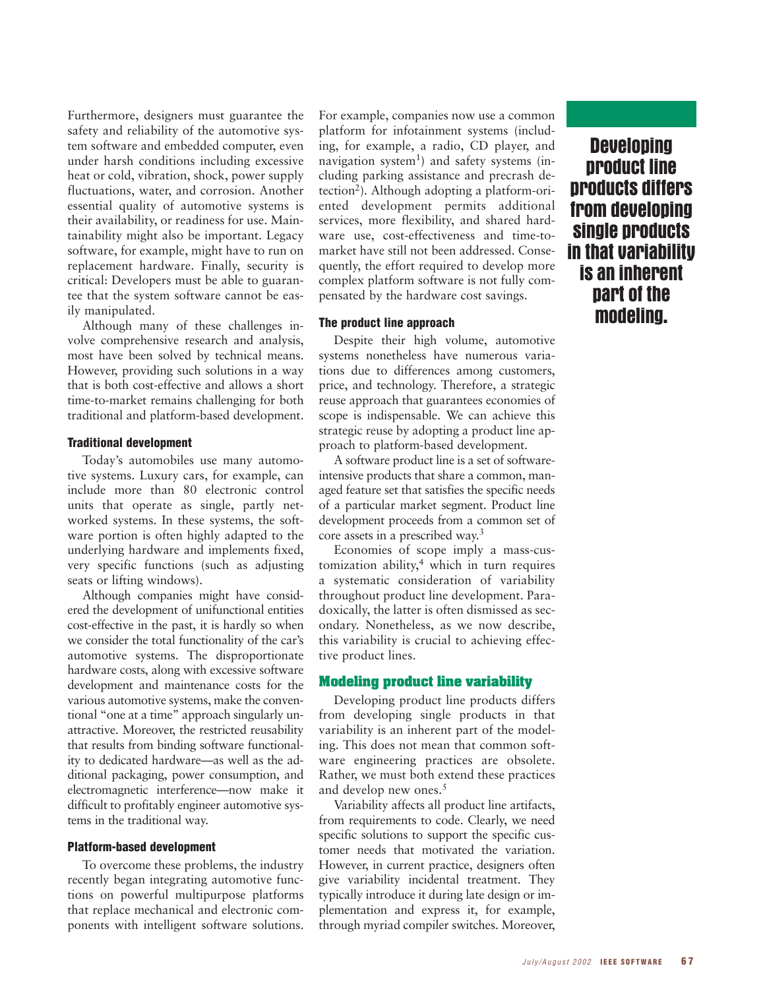Furthermore, designers must guarantee the safety and reliability of the automotive system software and embedded computer, even under harsh conditions including excessive heat or cold, vibration, shock, power supply fluctuations, water, and corrosion. Another essential quality of automotive systems is their availability, or readiness for use. Maintainability might also be important. Legacy software, for example, might have to run on replacement hardware. Finally, security is critical: Developers must be able to guarantee that the system software cannot be easily manipulated.

Although many of these challenges involve comprehensive research and analysis, most have been solved by technical means. However, providing such solutions in a way that is both cost-effective and allows a short time-to-market remains challenging for both traditional and platform-based development.

#### **Traditional development**

Today's automobiles use many automotive systems. Luxury cars, for example, can include more than 80 electronic control units that operate as single, partly networked systems. In these systems, the software portion is often highly adapted to the underlying hardware and implements fixed, very specific functions (such as adjusting seats or lifting windows).

Although companies might have considered the development of unifunctional entities cost-effective in the past, it is hardly so when we consider the total functionality of the car's automotive systems. The disproportionate hardware costs, along with excessive software development and maintenance costs for the various automotive systems, make the conventional "one at a time" approach singularly unattractive. Moreover, the restricted reusability that results from binding software functionality to dedicated hardware—as well as the additional packaging, power consumption, and electromagnetic interference—now make it difficult to profitably engineer automotive systems in the traditional way.

#### **Platform-based development**

To overcome these problems, the industry recently began integrating automotive functions on powerful multipurpose platforms that replace mechanical and electronic components with intelligent software solutions.

For example, companies now use a common platform for infotainment systems (including, for example, a radio, CD player, and navigation system<sup>1</sup>) and safety systems (including parking assistance and precrash detection<sup>2</sup>). Although adopting a platform-oriented development permits additional services, more flexibility, and shared hardware use, cost-effectiveness and time-tomarket have still not been addressed. Consequently, the effort required to develop more complex platform software is not fully compensated by the hardware cost savings.

#### **The product line approach**

Despite their high volume, automotive systems nonetheless have numerous variations due to differences among customers, price, and technology. Therefore, a strategic reuse approach that guarantees economies of scope is indispensable. We can achieve this strategic reuse by adopting a product line approach to platform-based development.

A software product line is a set of softwareintensive products that share a common, managed feature set that satisfies the specific needs of a particular market segment. Product line development proceeds from a common set of core assets in a prescribed way.3

Economies of scope imply a mass-customization ability,<sup>4</sup> which in turn requires a systematic consideration of variability throughout product line development. Paradoxically, the latter is often dismissed as secondary. Nonetheless, as we now describe, this variability is crucial to achieving effective product lines.

#### **Modeling product line variability**

Developing product line products differs from developing single products in that variability is an inherent part of the modeling. This does not mean that common software engineering practices are obsolete. Rather, we must both extend these practices and develop new ones.<sup>5</sup>

Variability affects all product line artifacts, from requirements to code. Clearly, we need specific solutions to support the specific customer needs that motivated the variation. However, in current practice, designers often give variability incidental treatment. They typically introduce it during late design or implementation and express it, for example, through myriad compiler switches. Moreover,

**Developing product line products differs from developing single products in that variability is an inherent part of the modeling.**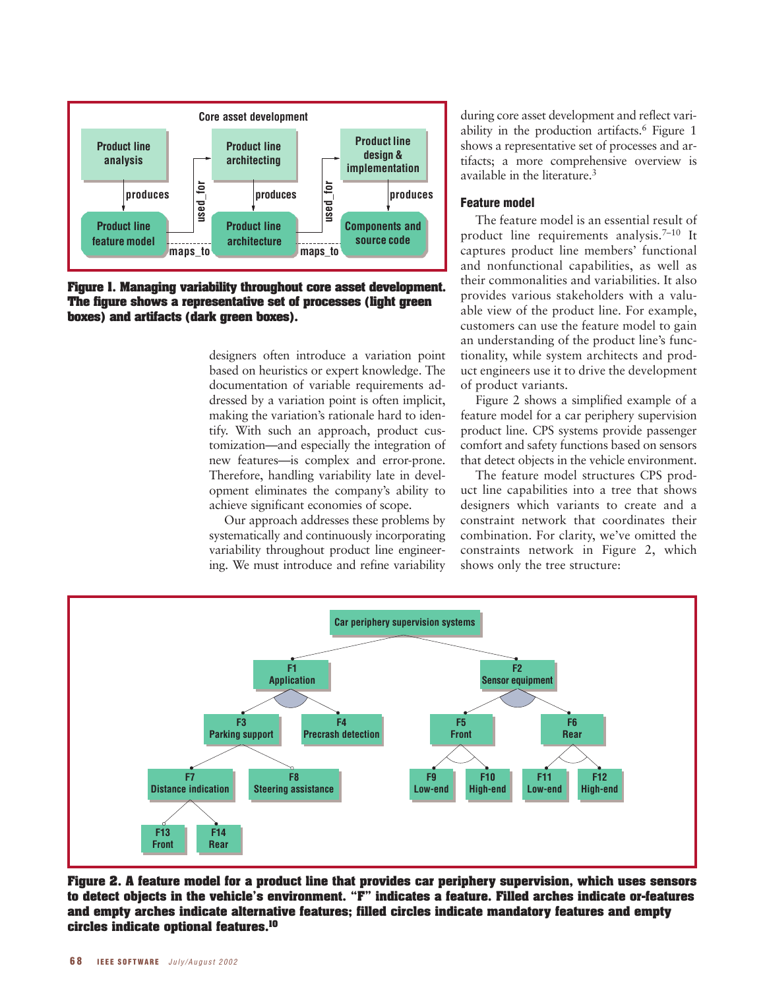

**Figure 1. Managing variability throughout core asset development. The figure shows a representative set of processes (light green boxes) and artifacts (dark green boxes).**

designers often introduce a variation point based on heuristics or expert knowledge. The documentation of variable requirements addressed by a variation point is often implicit, making the variation's rationale hard to identify. With such an approach, product customization—and especially the integration of new features—is complex and error-prone. Therefore, handling variability late in development eliminates the company's ability to achieve significant economies of scope.

Our approach addresses these problems by systematically and continuously incorporating variability throughout product line engineering. We must introduce and refine variability during core asset development and reflect variability in the production artifacts.<sup>6</sup> Figure 1 shows a representative set of processes and artifacts; a more comprehensive overview is available in the literature.3

#### **Feature model**

The feature model is an essential result of product line requirements analysis.7–10 It captures product line members' functional and nonfunctional capabilities, as well as their commonalities and variabilities. It also provides various stakeholders with a valuable view of the product line. For example, customers can use the feature model to gain an understanding of the product line's functionality, while system architects and product engineers use it to drive the development of product variants.

Figure 2 shows a simplified example of a feature model for a car periphery supervision product line. CPS systems provide passenger comfort and safety functions based on sensors that detect objects in the vehicle environment.

The feature model structures CPS product line capabilities into a tree that shows designers which variants to create and a constraint network that coordinates their combination. For clarity, we've omitted the constraints network in Figure 2, which shows only the tree structure:



**Figure 2. A feature model for a product line that provides car periphery supervision, which uses sensors to detect objects in the vehicle's environment. "F" indicates a feature. Filled arches indicate or-features and empty arches indicate alternative features; filled circles indicate mandatory features and empty circles indicate optional features.10**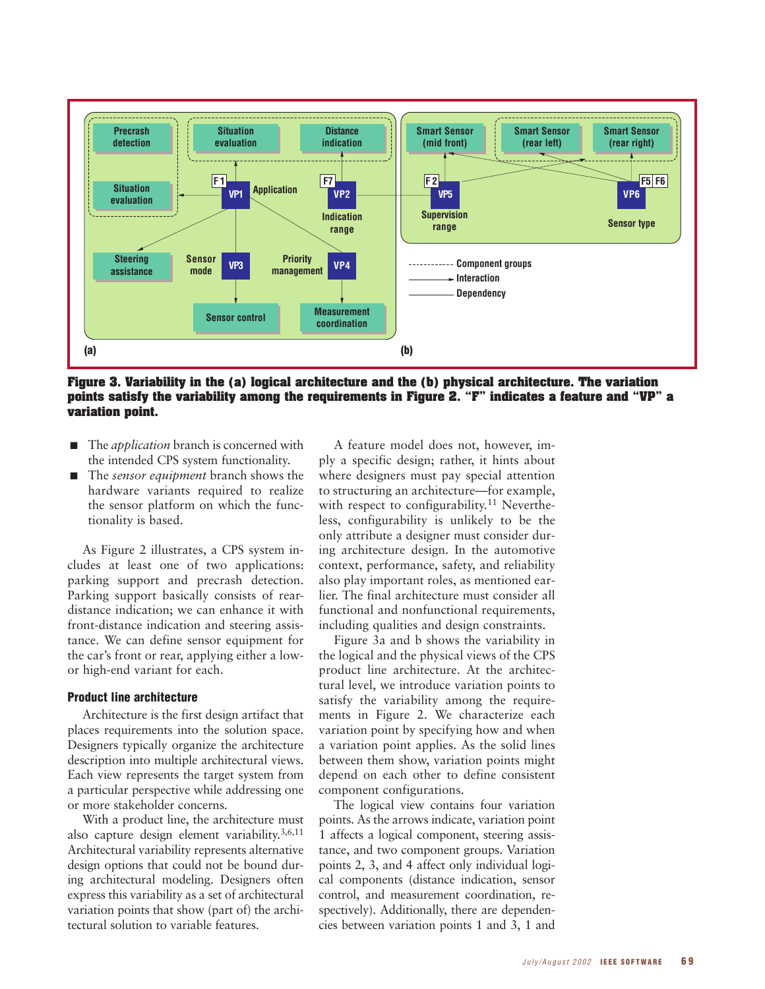

**Figure 3. Variability in the (a) logical architecture and the (b) physical architecture. The variation points satisfy the variability among the requirements in Figure 2. "F" indicates a feature and "VP" a variation point.**

- The *application* branch is concerned with the intended CPS system functionality.
- The *sensor equipment* branch shows the hardware variants required to realize the sensor platform on which the functionality is based.

As Figure 2 illustrates, a CPS system includes at least one of two applications: parking support and precrash detection. Parking support basically consists of reardistance indication; we can enhance it with front-distance indication and steering assistance. We can define sensor equipment for the car's front or rear, applying either a lowor high-end variant for each.

#### **Product line architecture**

Architecture is the first design artifact that places requirements into the solution space. Designers typically organize the architecture description into multiple architectural views. Each view represents the target system from a particular perspective while addressing one or more stakeholder concerns.

With a product line, the architecture must also capture design element variability.3,6,11 Architectural variability represents alternative design options that could not be bound during architectural modeling. Designers often express this variability as a set of architectural variation points that show (part of) the architectural solution to variable features.

A feature model does not, however, imply a specific design; rather, it hints about where designers must pay special attention to structuring an architecture—for example, with respect to configurability.<sup>11</sup> Nevertheless, configurability is unlikely to be the only attribute a designer must consider during architecture design. In the automotive context, performance, safety, and reliability also play important roles, as mentioned earlier. The final architecture must consider all functional and nonfunctional requirements, including qualities and design constraints.

Figure 3a and b shows the variability in the logical and the physical views of the CPS product line architecture. At the architectural level, we introduce variation points to satisfy the variability among the requirements in Figure 2. We characterize each variation point by specifying how and when a variation point applies. As the solid lines between them show, variation points might depend on each other to define consistent component configurations.

The logical view contains four variation points. As the arrows indicate, variation point 1 affects a logical component, steering assistance, and two component groups. Variation points 2, 3, and 4 affect only individual logical components (distance indication, sensor control, and measurement coordination, respectively). Additionally, there are dependencies between variation points 1 and 3, 1 and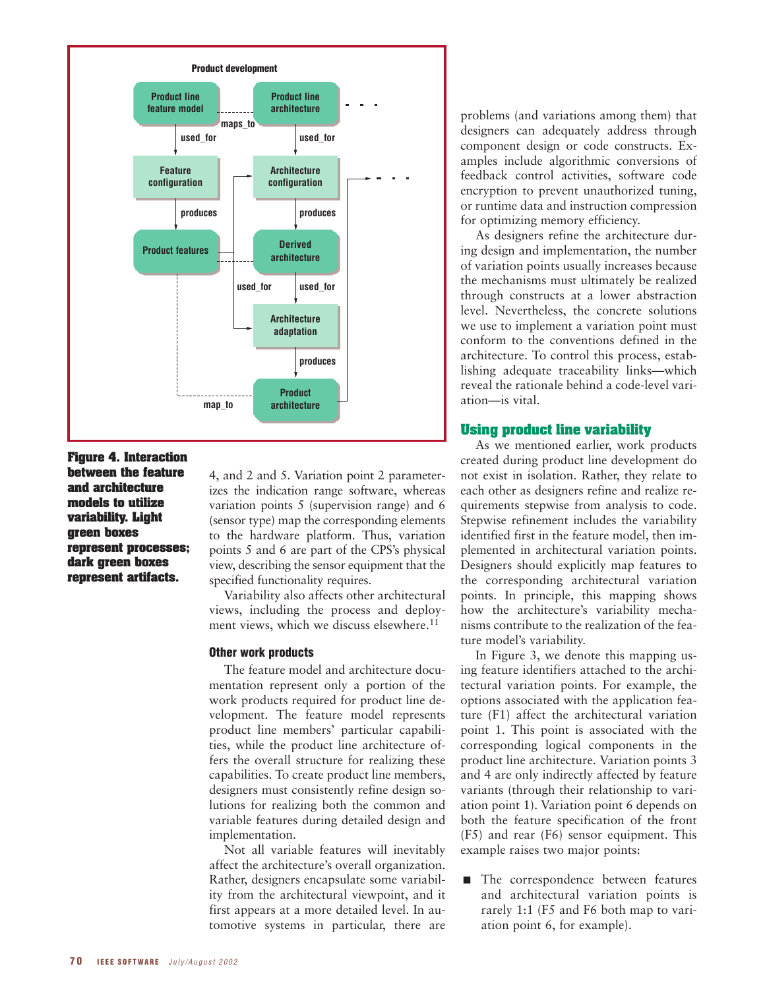

**Figure 4. Interaction between the feature and architecture models to utilize variability. Light green boxes represent processes; dark green boxes represent artifacts.**

4, and 2 and 5. Variation point 2 parameterizes the indication range software, whereas variation points 5 (supervision range) and 6 (sensor type) map the corresponding elements to the hardware platform. Thus, variation points 5 and 6 are part of the CPS's physical view, describing the sensor equipment that the specified functionality requires.

Variability also affects other architectural views, including the process and deployment views, which we discuss elsewhere.<sup>11</sup>

#### **Other work products**

The feature model and architecture documentation represent only a portion of the work products required for product line development. The feature model represents product line members' particular capabilities, while the product line architecture offers the overall structure for realizing these capabilities. To create product line members, designers must consistently refine design solutions for realizing both the common and variable features during detailed design and implementation.

Not all variable features will inevitably affect the architecture's overall organization. Rather, designers encapsulate some variability from the architectural viewpoint, and it first appears at a more detailed level. In automotive systems in particular, there are

problems (and variations among them) that designers can adequately address through component design or code constructs. Examples include algorithmic conversions of feedback control activities, software code encryption to prevent unauthorized tuning, or runtime data and instruction compression for optimizing memory efficiency.

As designers refine the architecture during design and implementation, the number of variation points usually increases because the mechanisms must ultimately be realized through constructs at a lower abstraction level. Nevertheless, the concrete solutions we use to implement a variation point must conform to the conventions defined in the architecture. To control this process, establishing adequate traceability links—which reveal the rationale behind a code-level variation—is vital.

#### **Using product line variability**

As we mentioned earlier, work products created during product line development do not exist in isolation. Rather, they relate to each other as designers refine and realize requirements stepwise from analysis to code. Stepwise refinement includes the variability identified first in the feature model, then implemented in architectural variation points. Designers should explicitly map features to the corresponding architectural variation points. In principle, this mapping shows how the architecture's variability mechanisms contribute to the realization of the feature model's variability.

In Figure 3, we denote this mapping using feature identifiers attached to the architectural variation points. For example, the options associated with the application feature (F1) affect the architectural variation point 1. This point is associated with the corresponding logical components in the product line architecture. Variation points 3 and 4 are only indirectly affected by feature variants (through their relationship to variation point 1). Variation point 6 depends on both the feature specification of the front (F5) and rear (F6) sensor equipment. This example raises two major points:

The correspondence between features and architectural variation points is rarely 1:1 (F5 and F6 both map to variation point 6, for example).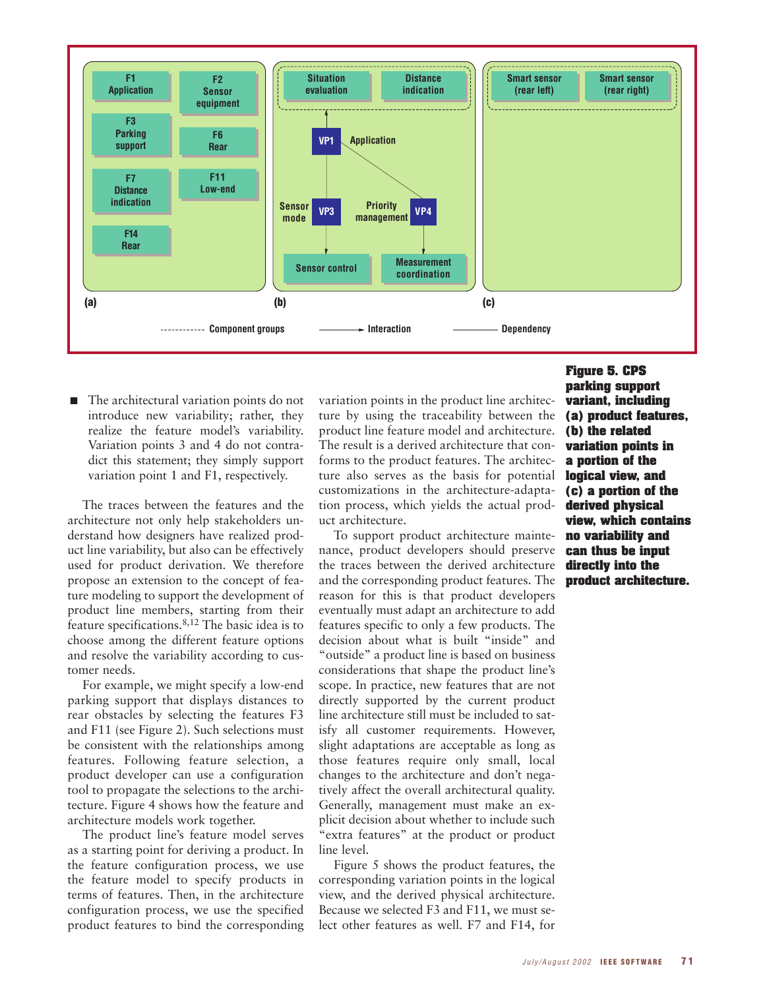

The architectural variation points do not introduce new variability; rather, they realize the feature model's variability. Variation points 3 and 4 do not contradict this statement; they simply support variation point 1 and F1, respectively.

The traces between the features and the architecture not only help stakeholders understand how designers have realized product line variability, but also can be effectively used for product derivation. We therefore propose an extension to the concept of feature modeling to support the development of product line members, starting from their feature specifications.8,12 The basic idea is to choose among the different feature options and resolve the variability according to customer needs.

For example, we might specify a low-end parking support that displays distances to rear obstacles by selecting the features F3 and F11 (see Figure 2). Such selections must be consistent with the relationships among features. Following feature selection, a product developer can use a configuration tool to propagate the selections to the architecture. Figure 4 shows how the feature and architecture models work together.

The product line's feature model serves as a starting point for deriving a product. In the feature configuration process, we use the feature model to specify products in terms of features. Then, in the architecture configuration process, we use the specified product features to bind the corresponding

variation points in the product line architecture by using the traceability between the product line feature model and architecture. The result is a derived architecture that conforms to the product features. The architecture also serves as the basis for potential customizations in the architecture-adaptation process, which yields the actual product architecture.

To support product architecture maintenance, product developers should preserve the traces between the derived architecture and the corresponding product features. The reason for this is that product developers eventually must adapt an architecture to add features specific to only a few products. The decision about what is built "inside" and "outside" a product line is based on business considerations that shape the product line's scope. In practice, new features that are not directly supported by the current product line architecture still must be included to satisfy all customer requirements. However, slight adaptations are acceptable as long as those features require only small, local changes to the architecture and don't negatively affect the overall architectural quality. Generally, management must make an explicit decision about whether to include such "extra features" at the product or product line level.

Figure 5 shows the product features, the corresponding variation points in the logical view, and the derived physical architecture. Because we selected F3 and F11, we must select other features as well. F7 and F14, for

**Figure 5. CPS parking support variant, including (a) product features, (b) the related variation points in a portion of the logical view, and (c) a portion of the derived physical view, which contains no variability and can thus be input directly into the product architecture.**